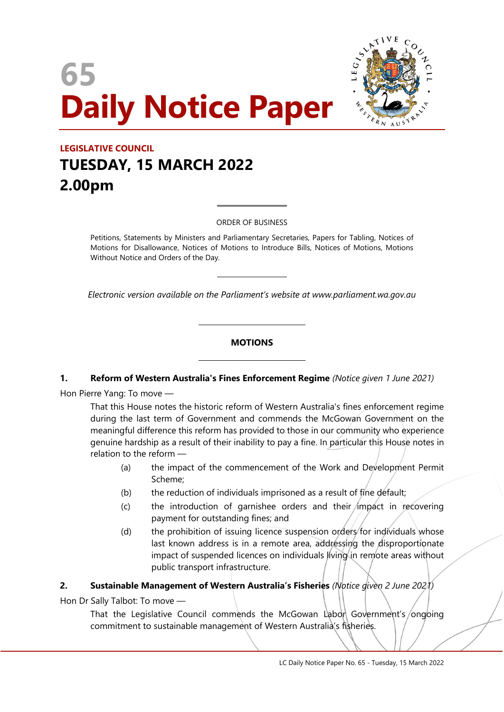# **65 Daily Notice Paper**



### **LEGISLATIVE COUNCIL TUESDAY, 15 MARCH 2022 2.00pm**

ORDER OF BUSINESS

 $\overline{a}$ 

 $\overline{a}$ 

 $\overline{\phantom{a}}$ 

 $\overline{\phantom{a}}$ 

Petitions, Statements by Ministers and Parliamentary Secretaries, Papers for Tabling, Notices of Motions for Disallowance, Notices of Motions to Introduce Bills, Notices of Motions, Motions Without Notice and Orders of the Day.

*Electronic version available on the Parliament's website at www.parliament.wa.gov.au*

#### **MOTIONS**

#### **1. Reform of Western Australia's Fines Enforcement Regime** *(Notice given 1 June 2021)*

Hon Pierre Yang: To move —

That this House notes the historic reform of Western Australia's fines enforcement regime during the last term of Government and commends the McGowan Government on the meaningful difference this reform has provided to those in our community who experience genuine hardship as a result of their inability to pay a fine. In particular this House notes in relation to the reform —

- (a) the impact of the commencement of the Work and Development Permit Scheme;
- (b) the reduction of individuals imprisoned as a result of fine default;
- $(c)$  the introduction of garnishee orders and their impact in recovering payment for outstanding fines; and
- (d) the prohibition of issuing licence suspension orders for individuals whose last known address is in a remote area, addressing the disproportionate impact of suspended licences on individuals living in remote areas without public transport infrastructure.

#### **2. Sustainable Management of Western Australia's Fisheries** *(Notice given 2 June 2021)*

Hon Dr Sally Talbot: To move —

That the Legislative Council commends the McGowan Labon Government's ongoing commitment to sustainable management of Western Australia's fisheries.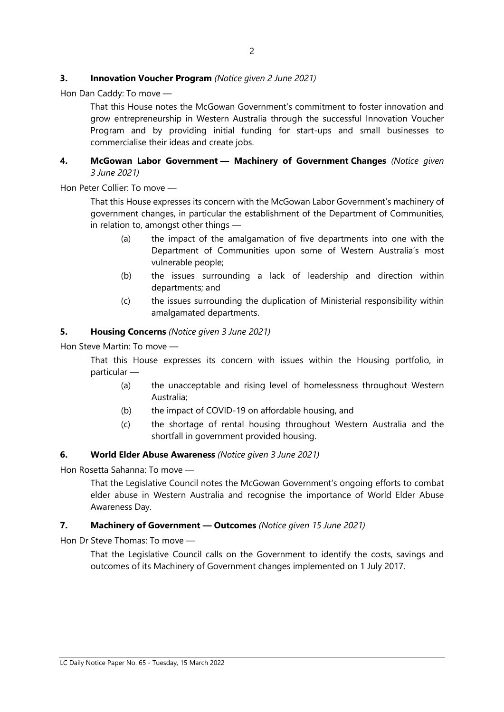#### **3. Innovation Voucher Program** *(Notice given 2 June 2021)*

Hon Dan Caddy: To move —

That this House notes the McGowan Government's commitment to foster innovation and grow entrepreneurship in Western Australia through the successful Innovation Voucher Program and by providing initial funding for start-ups and small businesses to commercialise their ideas and create jobs.

#### **4. McGowan Labor Government — Machinery of Government Changes** *(Notice given 3 June 2021)*

Hon Peter Collier: To move —

That this House expresses its concern with the McGowan Labor Government's machinery of government changes, in particular the establishment of the Department of Communities, in relation to, amongst other things —

- (a) the impact of the amalgamation of five departments into one with the Department of Communities upon some of Western Australia's most vulnerable people;
- (b) the issues surrounding a lack of leadership and direction within departments; and
- (c) the issues surrounding the duplication of Ministerial responsibility within amalgamated departments.

#### **5. Housing Concerns** *(Notice given 3 June 2021)*

Hon Steve Martin: To move —

That this House expresses its concern with issues within the Housing portfolio, in particular —

- (a) the unacceptable and rising level of homelessness throughout Western Australia;
- (b) the impact of COVID-19 on affordable housing, and
- (c) the shortage of rental housing throughout Western Australia and the shortfall in government provided housing.

#### **6. World Elder Abuse Awareness** *(Notice given 3 June 2021)*

Hon Rosetta Sahanna: To move —

That the Legislative Council notes the McGowan Government's ongoing efforts to combat elder abuse in Western Australia and recognise the importance of World Elder Abuse Awareness Day.

#### **7. Machinery of Government — Outcomes** *(Notice given 15 June 2021)*

Hon Dr Steve Thomas: To move —

That the Legislative Council calls on the Government to identify the costs, savings and outcomes of its Machinery of Government changes implemented on 1 July 2017.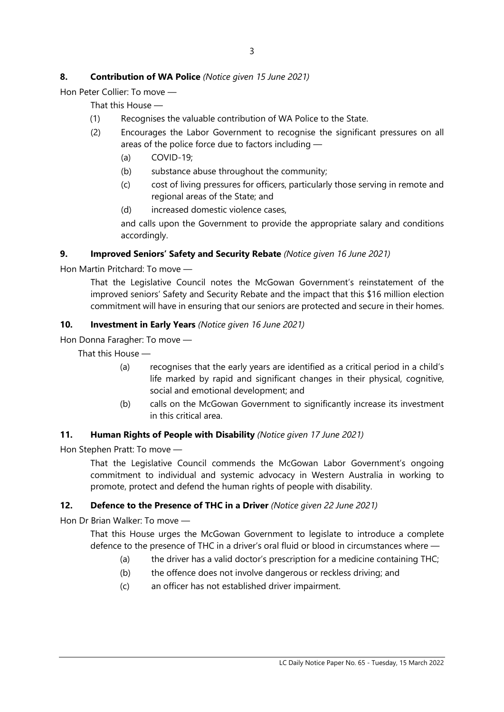#### **8. Contribution of WA Police** *(Notice given 15 June 2021)*

Hon Peter Collier: To move —

That this House —

- (1) Recognises the valuable contribution of WA Police to the State.
- (2) Encourages the Labor Government to recognise the significant pressures on all areas of the police force due to factors including —
	- (a) COVID-19;
	- (b) substance abuse throughout the community;
	- (c) cost of living pressures for officers, particularly those serving in remote and regional areas of the State; and
	- (d) increased domestic violence cases,

and calls upon the Government to provide the appropriate salary and conditions accordingly.

#### **9. Improved Seniors' Safety and Security Rebate** *(Notice given 16 June 2021)*

Hon Martin Pritchard: To move —

That the Legislative Council notes the McGowan Government's reinstatement of the improved seniors' Safety and Security Rebate and the impact that this \$16 million election commitment will have in ensuring that our seniors are protected and secure in their homes.

#### **10. Investment in Early Years** *(Notice given 16 June 2021)*

Hon Donna Faragher: To move —

That this House —

- (a) recognises that the early years are identified as a critical period in a child's life marked by rapid and significant changes in their physical, cognitive, social and emotional development; and
- (b) calls on the McGowan Government to significantly increase its investment in this critical area.

#### **11. Human Rights of People with Disability** *(Notice given 17 June 2021)*

Hon Stephen Pratt: To move —

That the Legislative Council commends the McGowan Labor Government's ongoing commitment to individual and systemic advocacy in Western Australia in working to promote, protect and defend the human rights of people with disability.

#### **12. Defence to the Presence of THC in a Driver** *(Notice given 22 June 2021)*

Hon Dr Brian Walker: To move —

That this House urges the McGowan Government to legislate to introduce a complete defence to the presence of THC in a driver's oral fluid or blood in circumstances where —

- (a) the driver has a valid doctor's prescription for a medicine containing THC;
- (b) the offence does not involve dangerous or reckless driving; and
- (c) an officer has not established driver impairment.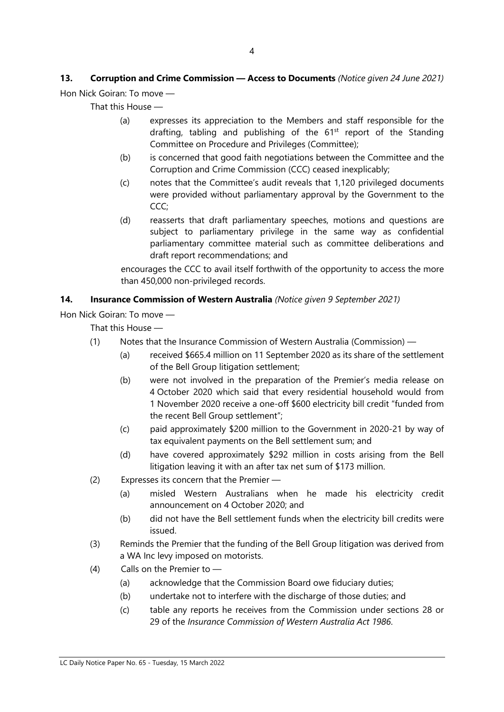## **13. Corruption and Crime Commission — Access to Documents** *(Notice given 24 June 2021)*

Hon Nick Goiran: To move —

That this House —

- (a) expresses its appreciation to the Members and staff responsible for the drafting, tabling and publishing of the  $61<sup>st</sup>$  report of the Standing Committee on Procedure and Privileges (Committee);
- (b) is concerned that good faith negotiations between the Committee and the Corruption and Crime Commission (CCC) ceased inexplicably;
- (c) notes that the Committee's audit reveals that 1,120 privileged documents were provided without parliamentary approval by the Government to the CCC;
- (d) reasserts that draft parliamentary speeches, motions and questions are subject to parliamentary privilege in the same way as confidential parliamentary committee material such as committee deliberations and draft report recommendations; and

encourages the CCC to avail itself forthwith of the opportunity to access the more than 450,000 non-privileged records.

#### **14. Insurance Commission of Western Australia** *(Notice given 9 September 2021)*

Hon Nick Goiran: To move —

That this House —

- (1) Notes that the Insurance Commission of Western Australia (Commission)
	- (a) received \$665.4 million on 11 September 2020 as its share of the settlement of the Bell Group litigation settlement;
	- (b) were not involved in the preparation of the Premier's media release on 4 October 2020 which said that every residential household would from 1 November 2020 receive a one-off \$600 electricity bill credit "funded from the recent Bell Group settlement";
	- (c) paid approximately \$200 million to the Government in 2020-21 by way of tax equivalent payments on the Bell settlement sum; and
	- (d) have covered approximately \$292 million in costs arising from the Bell litigation leaving it with an after tax net sum of \$173 million.
- (2) Expresses its concern that the Premier
	- (a) misled Western Australians when he made his electricity credit announcement on 4 October 2020; and
	- (b) did not have the Bell settlement funds when the electricity bill credits were issued.
- (3) Reminds the Premier that the funding of the Bell Group litigation was derived from a WA Inc levy imposed on motorists.
- (4) Calls on the Premier to
	- (a) acknowledge that the Commission Board owe fiduciary duties;
	- (b) undertake not to interfere with the discharge of those duties; and
	- (c) table any reports he receives from the Commission under sections 28 or 29 of the *Insurance Commission of Western Australia Act 1986*.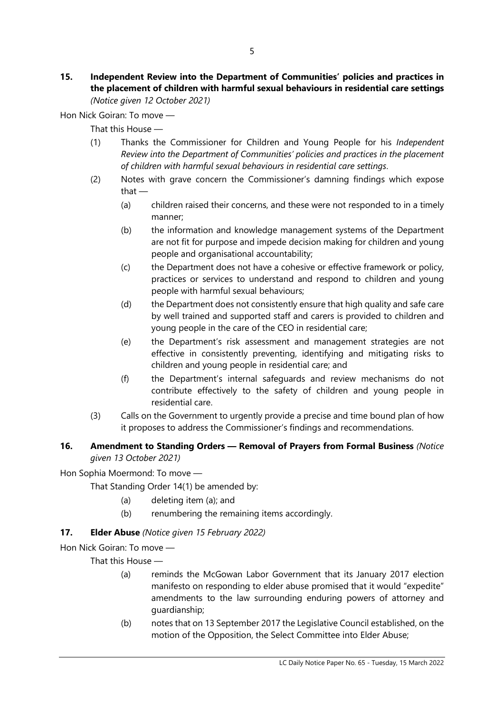#### **15. Independent Review into the Department of Communities' policies and practices in the placement of children with harmful sexual behaviours in residential care settings** *(Notice given 12 October 2021)*

Hon Nick Goiran: To move —

That this House —

- (1) Thanks the Commissioner for Children and Young People for his *Independent Review into the Department of Communities' policies and practices in the placement of children with harmful sexual behaviours in residential care settings*.
- (2) Notes with grave concern the Commissioner's damning findings which expose that —
	- (a) children raised their concerns, and these were not responded to in a timely manner;
	- (b) the information and knowledge management systems of the Department are not fit for purpose and impede decision making for children and young people and organisational accountability;
	- (c) the Department does not have a cohesive or effective framework or policy, practices or services to understand and respond to children and young people with harmful sexual behaviours;
	- (d) the Department does not consistently ensure that high quality and safe care by well trained and supported staff and carers is provided to children and young people in the care of the CEO in residential care;
	- (e) the Department's risk assessment and management strategies are not effective in consistently preventing, identifying and mitigating risks to children and young people in residential care; and
	- (f) the Department's internal safeguards and review mechanisms do not contribute effectively to the safety of children and young people in residential care.
- (3) Calls on the Government to urgently provide a precise and time bound plan of how it proposes to address the Commissioner's findings and recommendations.

#### **16. Amendment to Standing Orders — Removal of Prayers from Formal Business** *(Notice given 13 October 2021)*

Hon Sophia Moermond: To move —

That Standing Order 14(1) be amended by:

- (a) deleting item (a); and
- (b) renumbering the remaining items accordingly.

#### **17. Elder Abuse** *(Notice given 15 February 2022)*

Hon Nick Goiran: To move —

That this House —

- (a) reminds the McGowan Labor Government that its January 2017 election manifesto on responding to elder abuse promised that it would "expedite" amendments to the law surrounding enduring powers of attorney and guardianship;
- (b) notes that on 13 September 2017 the Legislative Council established, on the motion of the Opposition, the Select Committee into Elder Abuse;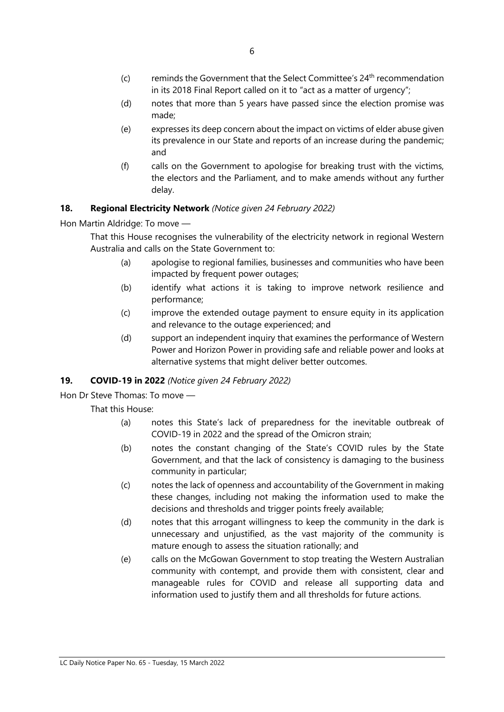- $(c)$  reminds the Government that the Select Committee's  $24<sup>th</sup>$  recommendation in its 2018 Final Report called on it to "act as a matter of urgency";
- (d) notes that more than 5 years have passed since the election promise was made;
- (e) expresses its deep concern about the impact on victims of elder abuse given its prevalence in our State and reports of an increase during the pandemic; and
- (f) calls on the Government to apologise for breaking trust with the victims, the electors and the Parliament, and to make amends without any further delay.

#### **18. Regional Electricity Network** *(Notice given 24 February 2022)*

Hon Martin Aldridge: To move —

That this House recognises the vulnerability of the electricity network in regional Western Australia and calls on the State Government to:

- (a) apologise to regional families, businesses and communities who have been impacted by frequent power outages;
- (b) identify what actions it is taking to improve network resilience and performance;
- (c) improve the extended outage payment to ensure equity in its application and relevance to the outage experienced; and
- (d) support an independent inquiry that examines the performance of Western Power and Horizon Power in providing safe and reliable power and looks at alternative systems that might deliver better outcomes.

#### **19. COVID-19 in 2022** *(Notice given 24 February 2022)*

Hon Dr Steve Thomas: To move —

That this House:

- (a) notes this State's lack of preparedness for the inevitable outbreak of COVID-19 in 2022 and the spread of the Omicron strain;
- (b) notes the constant changing of the State's COVID rules by the State Government, and that the lack of consistency is damaging to the business community in particular;
- (c) notes the lack of openness and accountability of the Government in making these changes, including not making the information used to make the decisions and thresholds and trigger points freely available;
- (d) notes that this arrogant willingness to keep the community in the dark is unnecessary and unjustified, as the vast majority of the community is mature enough to assess the situation rationally; and
- (e) calls on the McGowan Government to stop treating the Western Australian community with contempt, and provide them with consistent, clear and manageable rules for COVID and release all supporting data and information used to justify them and all thresholds for future actions.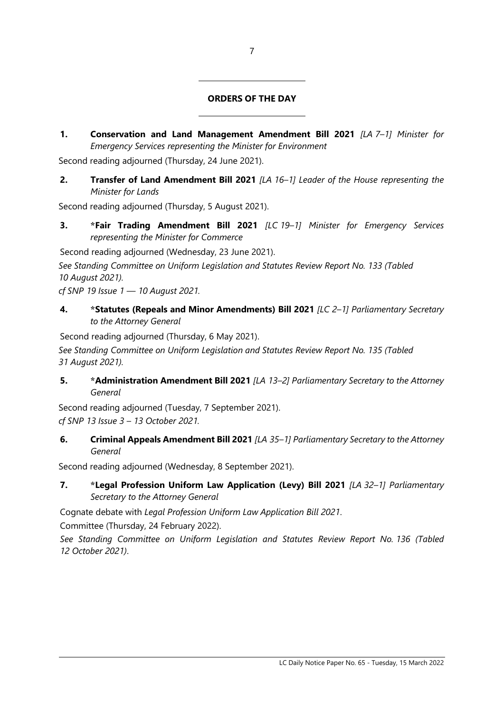#### **ORDERS OF THE DAY**

**1. Conservation and Land Management Amendment Bill 2021** *[LA 7–1] Minister for Emergency Services representing the Minister for Environment*

Second reading adjourned (Thursday, 24 June 2021).

 $\overline{\phantom{a}}$ 

 $\overline{\phantom{a}}$ 

**2. Transfer of Land Amendment Bill 2021** *[LA 16–1] Leader of the House representing the Minister for Lands*

Second reading adjourned (Thursday, 5 August 2021).

**3. \*Fair Trading Amendment Bill 2021** *[LC 19–1] Minister for Emergency Services representing the Minister for Commerce*

Second reading adjourned (Wednesday, 23 June 2021).

*See Standing Committee on Uniform Legislation and Statutes Review Report No. 133 (Tabled 10 August 2021).*

*cf SNP 19 Issue 1 — 10 August 2021.*

**4. \*Statutes (Repeals and Minor Amendments) Bill 2021** *[LC 2–1] Parliamentary Secretary to the Attorney General*

Second reading adjourned (Thursday, 6 May 2021).

*See Standing Committee on Uniform Legislation and Statutes Review Report No. 135 (Tabled 31 August 2021).*

**5. \*Administration Amendment Bill 2021** *[LA 13–2] Parliamentary Secretary to the Attorney General*

Second reading adjourned (Tuesday, 7 September 2021). *cf SNP 13 Issue 3 – 13 October 2021.*

**6. Criminal Appeals Amendment Bill 2021** *[LA 35–1] Parliamentary Secretary to the Attorney General*

Second reading adjourned (Wednesday, 8 September 2021).

**7. \*Legal Profession Uniform Law Application (Levy) Bill 2021** *[LA 32–1] Parliamentary Secretary to the Attorney General*

Cognate debate with *Legal Profession Uniform Law Application Bill 2021*.

Committee (Thursday, 24 February 2022).

*See Standing Committee on Uniform Legislation and Statutes Review Report No. 136 (Tabled 12 October 2021)*.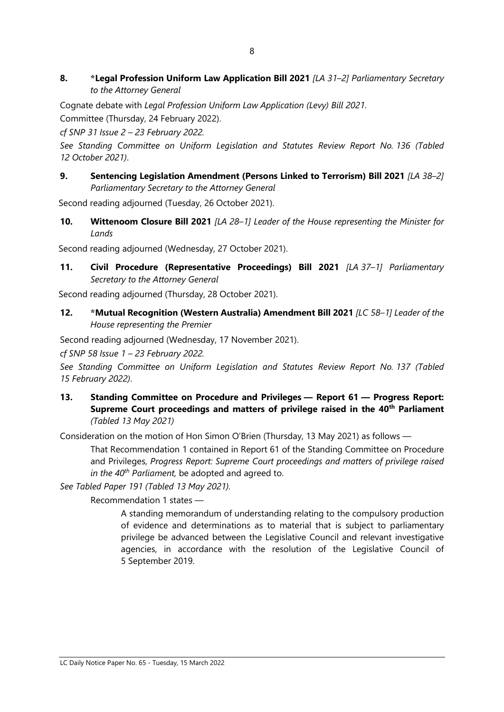#### **8. \*Legal Profession Uniform Law Application Bill 2021** *[LA 31–2] Parliamentary Secretary to the Attorney General*

Cognate debate with *Legal Profession Uniform Law Application (Levy) Bill 2021*.

Committee (Thursday, 24 February 2022).

*cf SNP 31 Issue 2 – 23 February 2022.*

*See Standing Committee on Uniform Legislation and Statutes Review Report No. 136 (Tabled 12 October 2021)*.

**9. Sentencing Legislation Amendment (Persons Linked to Terrorism) Bill 2021** *[LA 38–2] Parliamentary Secretary to the Attorney General*

Second reading adjourned (Tuesday, 26 October 2021).

**10. Wittenoom Closure Bill 2021** *[LA 28–1] Leader of the House representing the Minister for Lands*

Second reading adjourned (Wednesday, 27 October 2021).

**11. Civil Procedure (Representative Proceedings) Bill 2021** *[LA 37–1] Parliamentary Secretary to the Attorney General*

Second reading adjourned (Thursday, 28 October 2021).

**12. \*Mutual Recognition (Western Australia) Amendment Bill 2021** *[LC 58–1] Leader of the House representing the Premier*

Second reading adjourned (Wednesday, 17 November 2021).

*cf SNP 58 Issue 1 – 23 February 2022.*

*See Standing Committee on Uniform Legislation and Statutes Review Report No. 137 (Tabled 15 February 2022)*.

**13. Standing Committee on Procedure and Privileges — Report 61 — Progress Report: Supreme Court proceedings and matters of privilege raised in the 40th Parliament** *(Tabled 13 May 2021)*

Consideration on the motion of Hon Simon O'Brien (Thursday, 13 May 2021) as follows —

That Recommendation 1 contained in Report 61 of the Standing Committee on Procedure and Privileges, *Progress Report: Supreme Court proceedings and matters of privilege raised in the 40th Parliament,* be adopted and agreed to.

*See Tabled Paper 191 (Tabled 13 May 2021).*

Recommendation 1 states —

A standing memorandum of understanding relating to the compulsory production of evidence and determinations as to material that is subject to parliamentary privilege be advanced between the Legislative Council and relevant investigative agencies, in accordance with the resolution of the Legislative Council of 5 September 2019.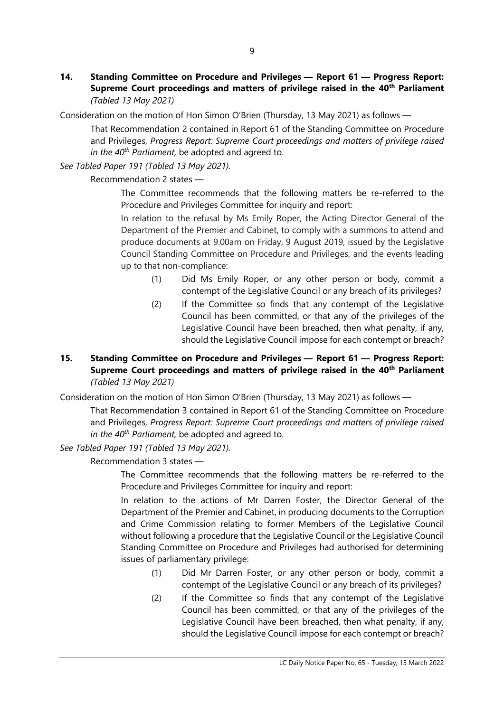**14. Standing Committee on Procedure and Privileges — Report 61 — Progress Report: Supreme Court proceedings and matters of privilege raised in the 40th Parliament** *(Tabled 13 May 2021)*

Consideration on the motion of Hon Simon O'Brien (Thursday, 13 May 2021) as follows —

That Recommendation 2 contained in Report 61 of the Standing Committee on Procedure and Privileges, *Progress Report: Supreme Court proceedings and matters of privilege raised in the 40th Parliament,* be adopted and agreed to.

*See Tabled Paper 191 (Tabled 13 May 2021).*

Recommendation 2 states —

The Committee recommends that the following matters be re-referred to the Procedure and Privileges Committee for inquiry and report:

In relation to the refusal by Ms Emily Roper, the Acting Director General of the Department of the Premier and Cabinet, to comply with a summons to attend and produce documents at 9.00am on Friday, 9 August 2019, issued by the Legislative Council Standing Committee on Procedure and Privileges, and the events leading up to that non-compliance:

- (1) Did Ms Emily Roper, or any other person or body, commit a contempt of the Legislative Council or any breach of its privileges?
- (2) If the Committee so finds that any contempt of the Legislative Council has been committed, or that any of the privileges of the Legislative Council have been breached, then what penalty, if any, should the Legislative Council impose for each contempt or breach?

#### **15. Standing Committee on Procedure and Privileges — Report 61 — Progress Report: Supreme Court proceedings and matters of privilege raised in the 40th Parliament** *(Tabled 13 May 2021)*

Consideration on the motion of Hon Simon O'Brien (Thursday, 13 May 2021) as follows —

That Recommendation 3 contained in Report 61 of the Standing Committee on Procedure and Privileges, *Progress Report: Supreme Court proceedings and matters of privilege raised in the 40th Parliament,* be adopted and agreed to.

*See Tabled Paper 191 (Tabled 13 May 2021).*

Recommendation 3 states —

The Committee recommends that the following matters be re-referred to the Procedure and Privileges Committee for inquiry and report:

In relation to the actions of Mr Darren Foster, the Director General of the Department of the Premier and Cabinet, in producing documents to the Corruption and Crime Commission relating to former Members of the Legislative Council without following a procedure that the Legislative Council or the Legislative Council Standing Committee on Procedure and Privileges had authorised for determining issues of parliamentary privilege:

- (1) Did Mr Darren Foster, or any other person or body, commit a contempt of the Legislative Council or any breach of its privileges?
- (2) If the Committee so finds that any contempt of the Legislative Council has been committed, or that any of the privileges of the Legislative Council have been breached, then what penalty, if any, should the Legislative Council impose for each contempt or breach?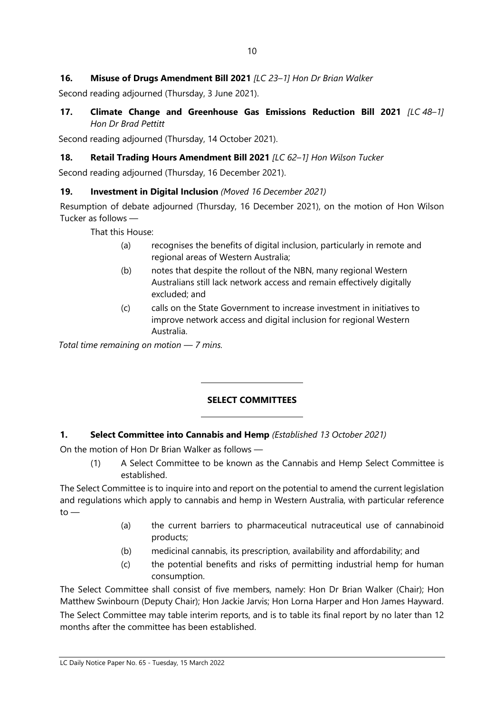#### **16. Misuse of Drugs Amendment Bill 2021** *[LC 23–1] Hon Dr Brian Walker*

Second reading adjourned (Thursday, 3 June 2021).

**17. Climate Change and Greenhouse Gas Emissions Reduction Bill 2021** *[LC 48–1] Hon Dr Brad Pettitt*

Second reading adjourned (Thursday, 14 October 2021).

#### **18. Retail Trading Hours Amendment Bill 2021** *[LC 62–1] Hon Wilson Tucker*

Second reading adjourned (Thursday, 16 December 2021).

#### **19. Investment in Digital Inclusion** *(Moved 16 December 2021)*

Resumption of debate adjourned (Thursday, 16 December 2021), on the motion of Hon Wilson Tucker as follows —

That this House:

- (a) recognises the benefits of digital inclusion, particularly in remote and regional areas of Western Australia;
- (b) notes that despite the rollout of the NBN, many regional Western Australians still lack network access and remain effectively digitally excluded; and
- (c) calls on the State Government to increase investment in initiatives to improve network access and digital inclusion for regional Western Australia.

*Total time remaining on motion — 7 mins.*

#### **SELECT COMMITTEES**

#### **1. Select Committee into Cannabis and Hemp** *(Established 13 October 2021)*

 $\overline{a}$ 

 $\overline{a}$ 

On the motion of Hon Dr Brian Walker as follows —

(1) A Select Committee to be known as the Cannabis and Hemp Select Committee is established.

The Select Committee is to inquire into and report on the potential to amend the current legislation and regulations which apply to cannabis and hemp in Western Australia, with particular reference  $to -$ 

- (a) the current barriers to pharmaceutical nutraceutical use of cannabinoid products;
- (b) medicinal cannabis, its prescription, availability and affordability; and
- (c) the potential benefits and risks of permitting industrial hemp for human consumption.

The Select Committee shall consist of five members, namely: Hon Dr Brian Walker (Chair); Hon Matthew Swinbourn (Deputy Chair); Hon Jackie Jarvis; Hon Lorna Harper and Hon James Hayward. The Select Committee may table interim reports, and is to table its final report by no later than 12 months after the committee has been established.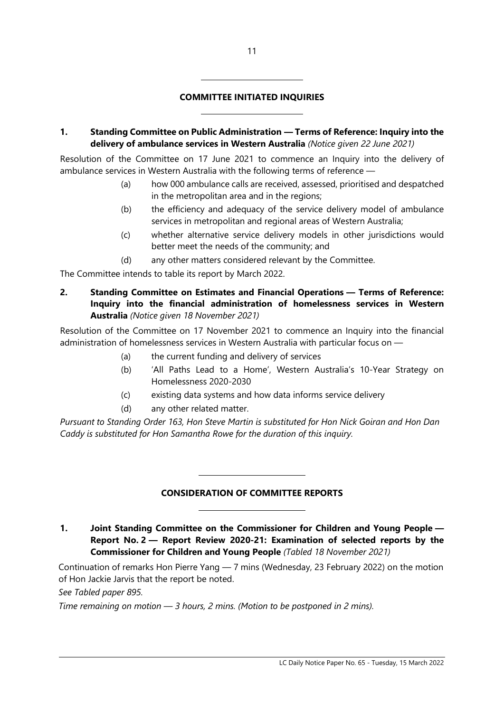#### **COMMITTEE INITIATED INQUIRIES**

 $\overline{a}$ 

 $\overline{a}$ 

**1. Standing Committee on Public Administration — Terms of Reference: Inquiry into the delivery of ambulance services in Western Australia** *(Notice given 22 June 2021)*

Resolution of the Committee on 17 June 2021 to commence an Inquiry into the delivery of ambulance services in Western Australia with the following terms of reference —

- (a) how 000 ambulance calls are received, assessed, prioritised and despatched in the metropolitan area and in the regions;
- (b) the efficiency and adequacy of the service delivery model of ambulance services in metropolitan and regional areas of Western Australia;
- (c) whether alternative service delivery models in other jurisdictions would better meet the needs of the community; and
- (d) any other matters considered relevant by the Committee.

The Committee intends to table its report by March 2022.

**2. Standing Committee on Estimates and Financial Operations — Terms of Reference: Inquiry into the financial administration of homelessness services in Western Australia** *(Notice given 18 November 2021)*

Resolution of the Committee on 17 November 2021 to commence an Inquiry into the financial administration of homelessness services in Western Australia with particular focus on —

- (a) the current funding and delivery of services
- (b) 'All Paths Lead to a Home', Western Australia's 10-Year Strategy on Homelessness 2020-2030
- (c) existing data systems and how data informs service delivery
- (d) any other related matter.

 $\overline{\phantom{a}}$ 

 $\overline{\phantom{a}}$ 

*Pursuant to Standing Order 163, Hon Steve Martin is substituted for Hon Nick Goiran and Hon Dan Caddy is substituted for Hon Samantha Rowe for the duration of this inquiry.*

#### **CONSIDERATION OF COMMITTEE REPORTS**

**1. Joint Standing Committee on the Commissioner for Children and Young People — Report No. 2 — Report Review 2020-21: Examination of selected reports by the Commissioner for Children and Young People** *(Tabled 18 November 2021)*

Continuation of remarks Hon Pierre Yang — 7 mins (Wednesday, 23 February 2022) on the motion of Hon Jackie Jarvis that the report be noted.

*See Tabled paper 895.*

*Time remaining on motion — 3 hours, 2 mins. (Motion to be postponed in 2 mins).*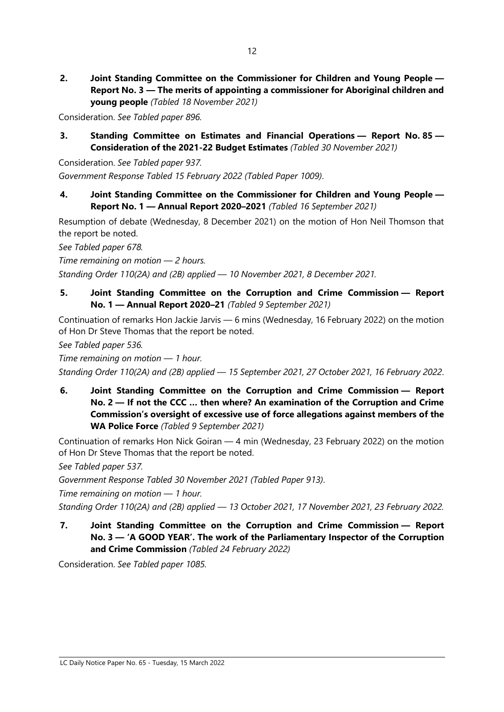**2. Joint Standing Committee on the Commissioner for Children and Young People — Report No. 3 — The merits of appointing a commissioner for Aboriginal children and young people** *(Tabled 18 November 2021)*

Consideration. *See Tabled paper 896.*

**3. Standing Committee on Estimates and Financial Operations — Report No. 85 — Consideration of the 2021-22 Budget Estimates** *(Tabled 30 November 2021)*

Consideration. *See Tabled paper 937. Government Response Tabled 15 February 2022 (Tabled Paper 1009)*.

**4. Joint Standing Committee on the Commissioner for Children and Young People — Report No. 1 — Annual Report 2020–2021** *(Tabled 16 September 2021)*

Resumption of debate (Wednesday, 8 December 2021) on the motion of Hon Neil Thomson that the report be noted.

*See Tabled paper 678.*

*Time remaining on motion — 2 hours.* 

*Standing Order 110(2A) and (2B) applied — 10 November 2021, 8 December 2021.*

**5. Joint Standing Committee on the Corruption and Crime Commission — Report No. 1 — Annual Report 2020–21** *(Tabled 9 September 2021)*

Continuation of remarks Hon Jackie Jarvis — 6 mins (Wednesday, 16 February 2022) on the motion of Hon Dr Steve Thomas that the report be noted.

*See Tabled paper 536.*

*Time remaining on motion — 1 hour.* 

*Standing Order 110(2A) and (2B) applied — 15 September 2021, 27 October 2021, 16 February 2022*.

**6. Joint Standing Committee on the Corruption and Crime Commission — Report No. 2 — If not the CCC … then where? An examination of the Corruption and Crime Commission's oversight of excessive use of force allegations against members of the WA Police Force** *(Tabled 9 September 2021)*

Continuation of remarks Hon Nick Goiran — 4 min (Wednesday, 23 February 2022) on the motion of Hon Dr Steve Thomas that the report be noted.

*See Tabled paper 537.*

*Government Response Tabled 30 November 2021 (Tabled Paper 913)*.

*Time remaining on motion — 1 hour.*

*Standing Order 110(2A) and (2B) applied — 13 October 2021, 17 November 2021, 23 February 2022.*

**7. Joint Standing Committee on the Corruption and Crime Commission — Report No. 3 — 'A GOOD YEAR'. The work of the Parliamentary Inspector of the Corruption and Crime Commission** *(Tabled 24 February 2022)*

Consideration. *See Tabled paper 1085.*